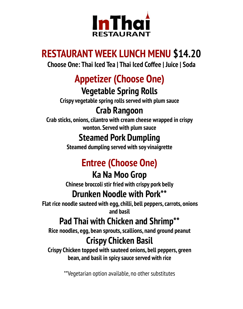

## **RESTAURANT WEEK LUNCH MENU \$14.20**

**Choose One: Thai Iced Tea | Thai Iced Coffee | Juice | Soda**

# **Appetizer (Choose One)**

## **Vegetable Spring Rolls**

**Crispy vegetable spring rolls served with plum sauce**

## **Crab Rangoon**

**Crab sticks, onions, cilantro with cream cheese wrapped in crispy wonton. Served with plum sauce**

## **Steamed Pork Dumpling**

**Steamed dumpling served with soy vinaigrette**

# **Entree (Choose One)**

## **Ka Na Moo Grop**

**Chinese broccoli stir fried with crispy pork belly**

## **Drunken Noodle with Pork\*\***

**Flat rice noodle sauteed with egg, chilli, bell peppers, carrots, onions and basil**

## **Pad Thai with Chicken and Shrimp\*\***

**Rice noodles, egg, bean sprouts, scallions, nand ground peanut**

## **Crispy Chicken Basil**

**Crispy Chicken topped with sauteed onions, bell peppers, green bean, and basil in spicy sauce served with rice**

\*\*Vegetarian option available, no other substitutes